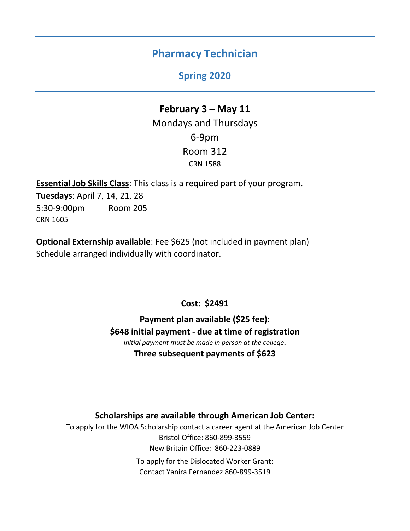# **Pharmacy Technician**

## **Spring 2020**

# **February 3 – May 11** Mondays and Thursdays 6-9pm Room 312 CRN 1588

**Essential Job Skills Class**: This class is a required part of your program. **Tuesdays**: April 7, 14, 21, 28 5:30-9:00pm Room 205 CRN 1605

**Optional Externship available**: Fee \$625 (not included in payment plan) Schedule arranged individually with coordinator.

## **Cost: \$2491**

**Payment plan available (\$25 fee): \$648 initial payment - due at time of registration** *Initial payment must be made in person at the college***. Three subsequent payments of \$623**

### **Scholarships are available through American Job Center:**

To apply for the WIOA Scholarship contact a career agent at the American Job Center Bristol Office: 860-899-3559 New Britain Office: 860-223-0889 To apply for the Dislocated Worker Grant: Contact Yanira Fernandez 860-899-3519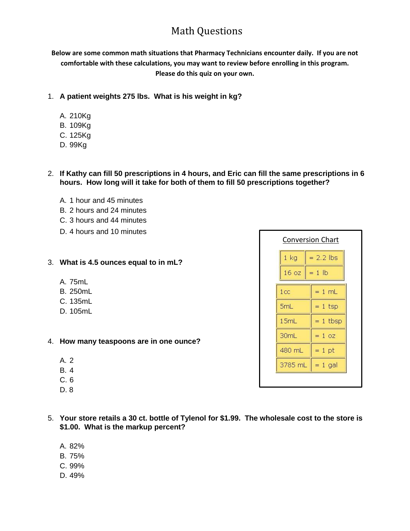## Math Questions

**Below are some common math situations that Pharmacy Technicians encounter daily. If you are not comfortable with these calculations, you may want to review before enrolling in this program. Please do this quiz on your own.**

- 1. **A patient weights 275 lbs. What is his weight in kg?**
	- A. 210Kg
	- B. 109Kg
	- C. 125Kg
	- D. 99Kg
- 2. **If Kathy can fill 50 prescriptions in 4 hours, and Eric can fill the same prescriptions in 6 hours. How long will it take for both of them to fill 50 prescriptions together?**
	- A. 1 hour and 45 minutes
	- B. 2 hours and 24 minutes
	- C. 3 hours and 44 minutes
	- D. 4 hours and 10 minutes
- 3. **What is 4.5 ounces equal to in mL?**
	- A. 75mL
	- B. 250mL
	- C. 135mL
	- D. 105mL
- 4. **How many teaspoons are in one ounce?**
	- A. 2
	- B. 4
	- C. 6
	- D. 8
- 5. **Your store retails a 30 ct. bottle of Tylenol for \$1.99. The wholesale cost to the store is \$1.00. What is the markup percent?**
	- A. 82%
	- B. 75%
	- C. 99%
	- D. 49%

| <b>Conversion Chart</b> |             |  |  |  |  |  |  |
|-------------------------|-------------|--|--|--|--|--|--|
| $1$ kg                  | $= 2.2$ lbs |  |  |  |  |  |  |
| 16 oz                   | $= 1$ lb    |  |  |  |  |  |  |
| 1 <sub>cc</sub>         | $= 1$ mL    |  |  |  |  |  |  |
| 5mL                     | $= 1$ tsp   |  |  |  |  |  |  |
| 15mL                    | $= 1$ tbsp  |  |  |  |  |  |  |
| 30mL                    | $= 1 oz$    |  |  |  |  |  |  |
| 480 mL                  | $= 1$ pt    |  |  |  |  |  |  |
| 3785 mL                 | 1 gal       |  |  |  |  |  |  |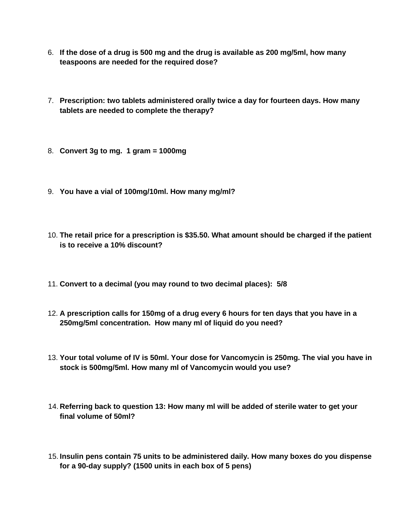- 6. **If the dose of a drug is 500 mg and the drug is available as 200 mg/5ml, how many teaspoons are needed for the required dose?**
- 7. **Prescription: two tablets administered orally twice a day for fourteen days. How many tablets are needed to complete the therapy?**
- 8. **Convert 3g to mg. 1 gram = 1000mg**
- 9. **You have a vial of 100mg/10ml. How many mg/ml?**
- 10. **The retail price for a prescription is \$35.50. What amount should be charged if the patient is to receive a 10% discount?**
- 11. **Convert to a decimal (you may round to two decimal places): 5/8**
- 12. **A prescription calls for 150mg of a drug every 6 hours for ten days that you have in a 250mg/5ml concentration. How many ml of liquid do you need?**
- 13. **Your total volume of IV is 50ml. Your dose for Vancomycin is 250mg. The vial you have in stock is 500mg/5ml. How many ml of Vancomycin would you use?**
- 14. **Referring back to question 13: How many ml will be added of sterile water to get your final volume of 50ml?**
- 15. **Insulin pens contain 75 units to be administered daily. How many boxes do you dispense for a 90-day supply? (1500 units in each box of 5 pens)**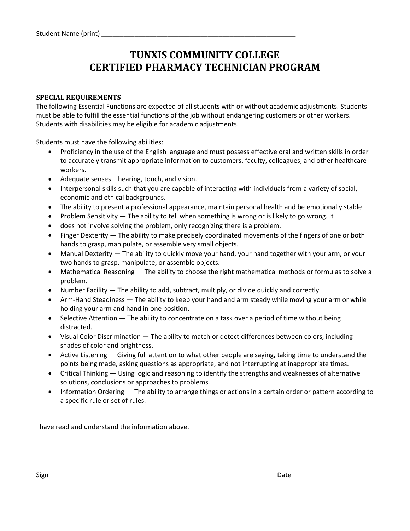# **TUNXIS COMMUNITY COLLEGE CERTIFIED PHARMACY TECHNICIAN PROGRAM**

### **SPECIAL REQUIREMENTS**

The following Essential Functions are expected of all students with or without academic adjustments. Students must be able to fulfill the essential functions of the job without endangering customers or other workers. Students with disabilities may be eligible for academic adjustments.

Students must have the following abilities:

- Proficiency in the use of the English language and must possess effective oral and written skills in order to accurately transmit appropriate information to customers, faculty, colleagues, and other healthcare workers.
- Adequate senses hearing, touch, and vision.
- Interpersonal skills such that you are capable of interacting with individuals from a variety of social, economic and ethical backgrounds.
- The ability to present a professional appearance, maintain personal health and be emotionally stable
- Problem Sensitivity The ability to tell when something is wrong or is likely to go wrong. It
- does not involve solving the problem, only recognizing there is a problem.
- Finger Dexterity The ability to make precisely coordinated movements of the fingers of one or both hands to grasp, manipulate, or assemble very small objects.
- Manual Dexterity The ability to quickly move your hand, your hand together with your arm, or your two hands to grasp, manipulate, or assemble objects.
- Mathematical Reasoning The ability to choose the right mathematical methods or formulas to solve a problem.
- Number Facility The ability to add, subtract, multiply, or divide quickly and correctly.
- Arm-Hand Steadiness The ability to keep your hand and arm steady while moving your arm or while holding your arm and hand in one position.
- Selective Attention The ability to concentrate on a task over a period of time without being distracted.
- Visual Color Discrimination The ability to match or detect differences between colors, including shades of color and brightness.
- Active Listening Giving full attention to what other people are saying, taking time to understand the points being made, asking questions as appropriate, and not interrupting at inappropriate times.
- Critical Thinking Using logic and reasoning to identify the strengths and weaknesses of alternative solutions, conclusions or approaches to problems.

\_\_\_\_\_\_\_\_\_\_\_\_\_\_\_\_\_\_\_\_\_\_\_\_\_\_\_\_\_\_\_\_\_\_\_\_\_\_\_\_\_\_\_\_\_\_\_\_\_\_\_\_\_ \_\_\_\_\_\_\_\_\_\_\_\_\_\_\_\_\_\_\_\_\_\_\_

• Information Ordering — The ability to arrange things or actions in a certain order or pattern according to a specific rule or set of rules.

I have read and understand the information above.